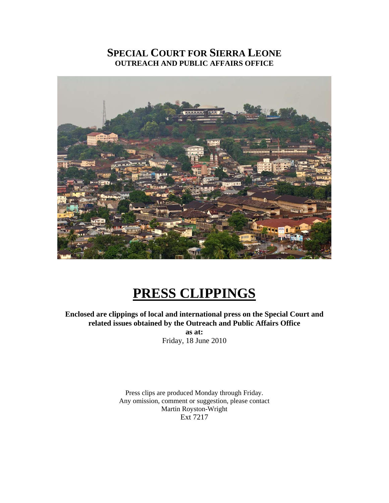# **SPECIAL COURT FOR SIERRA LEONE OUTREACH AND PUBLIC AFFAIRS OFFICE**



# **PRESS CLIPPINGS**

**Enclosed are clippings of local and international press on the Special Court and related issues obtained by the Outreach and Public Affairs Office as at:**  Friday, 18 June 2010

> Press clips are produced Monday through Friday. Any omission, comment or suggestion, please contact Martin Royston-Wright Ext 7217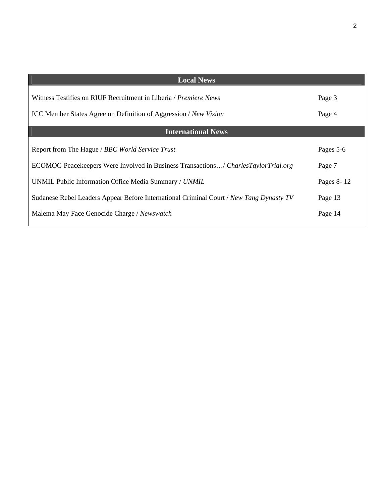| <b>Local News</b>                                                                       |            |
|-----------------------------------------------------------------------------------------|------------|
| Witness Testifies on RIUF Recruitment in Liberia <i>/ Premiere News</i>                 | Page 3     |
| ICC Member States Agree on Definition of Aggression / New Vision                        | Page 4     |
| <b>International News</b>                                                               |            |
| Report from The Hague / BBC World Service Trust                                         | Pages 5-6  |
| ECOMOG Peacekeepers Were Involved in Business Transactions/ CharlesTaylorTrial.org      | Page 7     |
| UNMIL Public Information Office Media Summary / UNMIL                                   | Pages 8-12 |
| Sudanese Rebel Leaders Appear Before International Criminal Court / New Tang Dynasty TV | Page 13    |
| Malema May Face Genocide Charge / Newswatch                                             | Page 14    |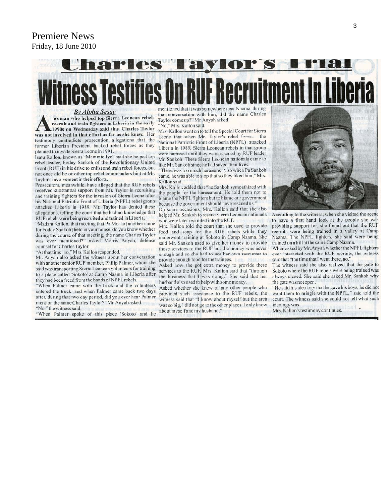## Premiere News Friday, 18 June 2010

# narles l **TAYIOF'S IF Recruitment In Liberia ness Testifies On RI**

**By Alpha Sesay** 

woman who helped top Sierra Leonean rebels recruit and train fighters in Liberia in the early 1990s on Wednesday said that Charles Taylor was not involved in that effort as far as she knew. Her testimony contradicts prosecution allegations that the former Liberian President backed rebel forces as they planned to invade Sierra Leone in 1991.

Isatu Kallon, known as "Mammie Iye" said she helped top rebel leader, Foday Sankoh of the Revolutionary United Front (RUF) in his drive to enlist and train rebel forces, but not once did he or other top rebel commanders hint at Mr. Taylor's involvement in their efforts.

Prosecutors, meanwhile, have alleged that the RUF rebels received substantial support from Mr. Taylor in recruiting and training fighters for the invasion of Sierra Leone after his National Patriotic Front of Liberia (NPFL) rebel group attacked Liberia in 1989. Mr. Taylor has denied these allegations, telling the court that he had no knowledge that RUF rebels were being recruited and trained in Liberia.

"Madam Kallon, that meeting that Pa Morlai [another name for Foday Sankoh] held in your house, do you know whether during the course of that meeting, the name Charles Taylor was ever mentioned?" asked Morris Anyah, defense counsel for Charles Taylor.

"At that time, no," Mrs. Kallon responded.

Mr. Anyah also asked the witness about her conversation with another senior RUF member, Philip Palmer, whom she said was transporting Sierra Leonean volunteers for training to a place called 'Sokoto' at Camp Naama in Liberia after they had been freed from the hands of NPFL rebels.

"When Palmer came with the truck and the volunteers entered the truck, and when Palmer came back two days after, during that two day period, did you ever hear Palmer mention the name Charles Taylor?" Mr. Anyah asked. "No." the witness said.

"When Palmer spoke of this place 'Sokoto' and he

mentioned that it was somewhere near Naama, during that conversation with him, did the name Charles Taylor come up?" Mr. Anyah asked. "No," Mrs. Kallon said.

Mrs. Kallon went on to tell the Special Court for Sierra Leone that when Mr. Taylor's rebel forces the National Patriotic Front of Liberia (NPFL) attacked Liberia in 1989, Sierra Leonean rebels in that group were harassed until they were rescued by RUF leader Mr. Sankoh. These Sierra Leonean nationals came to like Mr. Sankoh since he had saved their lives.

"There was too much harassmer\*, so when Pa Sankoh came, he was able to stop that so they liked him," Mrs. Kallon said.

Mrs. Kallon added that "he Sankoh sympathized with the people for the harassment. He told them not to blame the NPFL fighters but to blame our government because the government should have rescued us."

On some occasions, Mrs. Kallon said that she also helped Mr. Sankoh to rescue Sierra Leonean nationals who were later recruited into the RUF.

Mrs. Kallon told the court that she used to provide food and soap for the RUF rebels while they underwent training at Sokoto in Camp Naama. She said Mr. Sankoh used to give her money to provide those services to the RUF but the money was never enough and so she had to use her own resources to provide enough food for the trainees.

Asked how she got extra money to provide these services to the RUF, Mrs. Kallon said that "through the business that I was doing." She said that her husband also used to help with some money.

Asked whether she knew of any other people who provided such assistance to the RUF rebels, the witness said that "I know about myself but the area was so big, I did not go to the other places. I only know about myself and my husband."



According to the witness, when she visited the scene to have a first hand look at the people she was providing support for, she found out that the RUF recruits were being trained in a valley at Camp Naama. The NPFL fighters, she said were being trained on a hill at the same Camp Naama.

When asked by Mr. Anyah whether the NPFL fighters ever interacted with the RUF recruits, the witness said that "the time that I went there, no."

The witness said she also realized that the gate to Sokoto where the RUF rebels were being trained was always closed. She said she asked Mr. Sankoh why the gate was not open.

"He said his ideology that he gave his boys, he did not want them to mingle with the NPFL," said told the court. The witness said she could not tell what such ideology was.

Mrs. Kallon's testimony continues.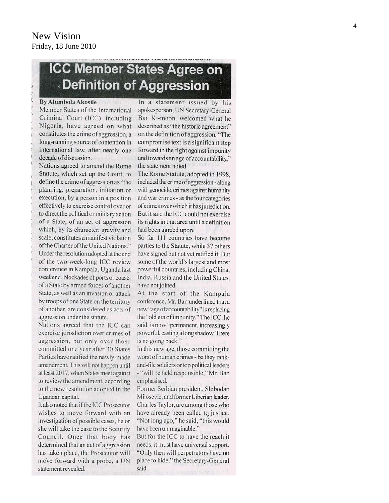# **ICC Member States Agree on Definition of Aggression**

#### By Abimbola Akosile

Member States of the International Criminal Court (ICC), including Nigeria, have agreed on what constitutes the crime of aggression, a long-running source of contention in international law, after nearly one decade of discussion.

Nations agreed to amend the Rome Statute, which set up the Court, to define the crime of aggression as "the planning, preparation, initiation or execution, by a person in a position effectively to exercise control over or to direct the political or military action of a State, of an act of aggression which, by its character, gravity and scale, constitutes a manifest violation of the Charter of the United Nations." Under the resolution adopted at the end of the two-week-long ICC review conference in Kampala, Ugandà last weekend, blockades of ports or coasts of a State by armed forces of another State, as well as an invasion or attack by troops of one State on the territory of another, are considered as acts of aggression under the statute.

Nations agreed that the ICC can exercise jurisdiction over crimes of aggression, but only over those committed one year after 30 States Parties have ratified the newly-made amendment. This will not happen until at least 2017, when States meet against to review the amendment, according to the new resolution adopted in the Ugandan capital.

It also noted that if the ICC Prosecutor wishes to move forward with an investigation of possible cases, he or she will take the case to the Security Council. Once that body has determined that an act of aggression has taken place, the Prosecutor will move forward with a probe, a UN statement revealed.

In a statement issued by his spokesperson, UN Secretary-General Ban Ki-moon, welcomed what he described as "the historic agreement" on the definition of aggression. "The compromise text is a significant step forward in the fight against impunity and towards an age of accountability," the statement noted.

The Rome Statute, adopted in 1998, included the crime of aggression - along with genocide, crimes against humanity and war crimes - as the four categories of crimes over which it has jurisdiction. But it said the ICC could not exercise its rights in that area until a definition had been agreed upon.

So far 111 countries have become parties to the Statute, while 37 others have signed but not yet ratified it. But some of the world's largest and most powerful countries, including China, India, Russia and the United States, have not joined.

At the start of the Kampala conference, Mr. Ban underlined that a new "age of accountability" is replacing the "old era of impunity." The ICC, he said, is now "permanent, increasingly powerful, casting a long shadow. There is no going back."

In this new age, those committing the worst of human crimes - be they rankand-file soldiers or top political leaders - "will be held responsible," Mr. Ban emphasised.

Former Serbian president, Slobodan Milosevic, and former Liberian leader, Charles Taylor, are among those who have already been called to justice. "Not long ago," he said, "this would have been unimaginable."

But for the ICC to have the reach it needs, it must have universal support. "Only then will perpetrators have no place to hide," the Secretary-General said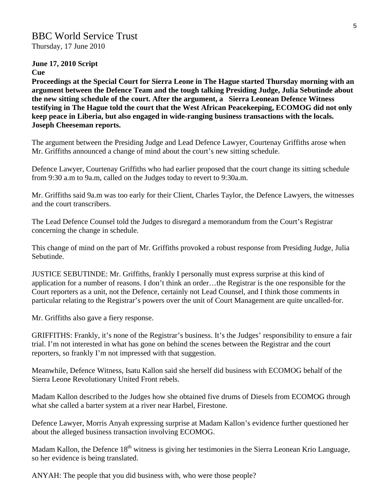# BBC World Service Trust

Thursday, 17 June 2010

# **June 17, 2010 Script**

**Cue** 

**Proceedings at the Special Court for Sierra Leone in The Hague started Thursday morning with an argument between the Defence Team and the tough talking Presiding Judge, Julia Sebutinde about the new sitting schedule of the court. After the argument, a Sierra Leonean Defence Witness testifying in The Hague told the court that the West African Peacekeeping, ECOMOG did not only keep peace in Liberia, but also engaged in wide-ranging business transactions with the locals. Joseph Cheeseman reports.** 

The argument between the Presiding Judge and Lead Defence Lawyer, Courtenay Griffiths arose when Mr. Griffiths announced a change of mind about the court's new sitting schedule.

Defence Lawyer, Courtenay Griffiths who had earlier proposed that the court change its sitting schedule from 9:30 a.m to 9a.m, called on the Judges today to revert to 9:30a.m.

Mr. Griffiths said 9a.m was too early for their Client, Charles Taylor, the Defence Lawyers, the witnesses and the court transcribers.

The Lead Defence Counsel told the Judges to disregard a memorandum from the Court's Registrar concerning the change in schedule.

This change of mind on the part of Mr. Griffiths provoked a robust response from Presiding Judge, Julia Sebutinde.

JUSTICE SEBUTINDE: Mr. Griffiths, frankly I personally must express surprise at this kind of application for a number of reasons. I don't think an order…the Registrar is the one responsible for the Court reporters as a unit, not the Defence, certainly not Lead Counsel, and I think those comments in particular relating to the Registrar's powers over the unit of Court Management are quite uncalled-for.

Mr. Griffiths also gave a fiery response.

GRIFFITHS: Frankly, it's none of the Registrar's business. It's the Judges' responsibility to ensure a fair trial. I'm not interested in what has gone on behind the scenes between the Registrar and the court reporters, so frankly I'm not impressed with that suggestion.

Meanwhile, Defence Witness, Isatu Kallon said she herself did business with ECOMOG behalf of the Sierra Leone Revolutionary United Front rebels.

Madam Kallon described to the Judges how she obtained five drums of Diesels from ECOMOG through what she called a barter system at a river near Harbel, Firestone.

Defence Lawyer, Morris Anyah expressing surprise at Madam Kallon's evidence further questioned her about the alleged business transaction involving ECOMOG.

Madam Kallon, the Defence 18<sup>th</sup> witness is giving her testimonies in the Sierra Leonean Krio Language, so her evidence is being translated.

ANYAH: The people that you did business with, who were those people?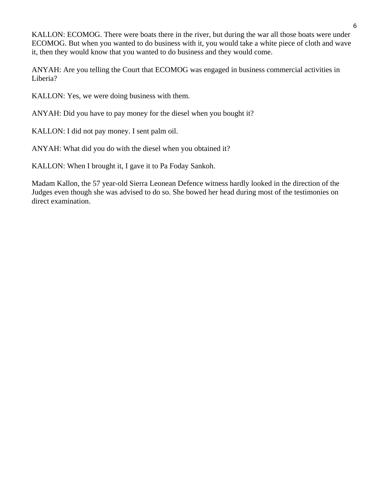KALLON: ECOMOG. There were boats there in the river, but during the war all those boats were under ECOMOG. But when you wanted to do business with it, you would take a white piece of cloth and wave it, then they would know that you wanted to do business and they would come.

ANYAH: Are you telling the Court that ECOMOG was engaged in business commercial activities in Liberia?

KALLON: Yes, we were doing business with them.

ANYAH: Did you have to pay money for the diesel when you bought it?

KALLON: I did not pay money. I sent palm oil.

ANYAH: What did you do with the diesel when you obtained it?

KALLON: When I brought it, I gave it to Pa Foday Sankoh.

Madam Kallon, the 57 year-old Sierra Leonean Defence witness hardly looked in the direction of the Judges even though she was advised to do so. She bowed her head during most of the testimonies on direct examination.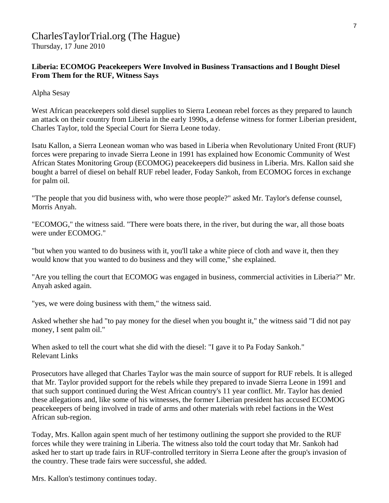# CharlesTaylorTrial.org (The Hague)

Thursday, 17 June 2010

## **Liberia: ECOMOG Peacekeepers Were Involved in Business Transactions and I Bought Diesel From Them for the RUF, Witness Says**

Alpha Sesay

West African peacekeepers sold diesel supplies to Sierra Leonean rebel forces as they prepared to launch an attack on their country from Liberia in the early 1990s, a defense witness for former Liberian president, Charles Taylor, told the Special Court for Sierra Leone today.

Isatu Kallon, a Sierra Leonean woman who was based in Liberia when Revolutionary United Front (RUF) forces were preparing to invade Sierra Leone in 1991 has explained how Economic Community of West African States Monitoring Group (ECOMOG) peacekeepers did business in Liberia. Mrs. Kallon said she bought a barrel of diesel on behalf RUF rebel leader, Foday Sankoh, from ECOMOG forces in exchange for palm oil.

"The people that you did business with, who were those people?" asked Mr. Taylor's defense counsel, Morris Anyah.

"ECOMOG," the witness said. "There were boats there, in the river, but during the war, all those boats were under ECOMOG."

"but when you wanted to do business with it, you'll take a white piece of cloth and wave it, then they would know that you wanted to do business and they will come," she explained.

"Are you telling the court that ECOMOG was engaged in business, commercial activities in Liberia?" Mr. Anyah asked again.

"yes, we were doing business with them," the witness said.

Asked whether she had "to pay money for the diesel when you bought it," the witness said "I did not pay money, I sent palm oil."

When asked to tell the court what she did with the diesel: "I gave it to Pa Foday Sankoh." Relevant Links

Prosecutors have alleged that Charles Taylor was the main source of support for RUF rebels. It is alleged that Mr. Taylor provided support for the rebels while they prepared to invade Sierra Leone in 1991 and that such support continued during the West African country's 11 year conflict. Mr. Taylor has denied these allegations and, like some of his witnesses, the former Liberian president has accused ECOMOG peacekeepers of being involved in trade of arms and other materials with rebel factions in the West African sub-region.

Today, Mrs. Kallon again spent much of her testimony outlining the support she provided to the RUF forces while they were training in Liberia. The witness also told the court today that Mr. Sankoh had asked her to start up trade fairs in RUF-controlled territory in Sierra Leone after the group's invasion of the country. These trade fairs were successful, she added.

Mrs. Kallon's testimony continues today.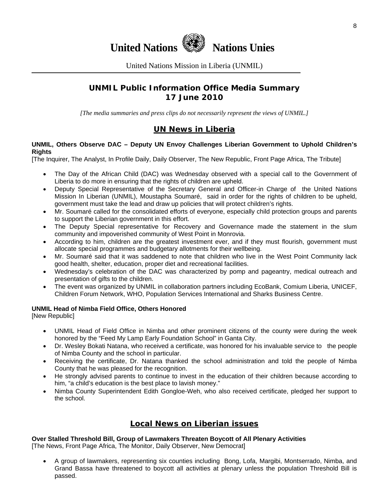

United Nations Mission in Liberia (UNMIL)

# **UNMIL Public Information Office Media Summary 17 June 2010**

*[The media summaries and press clips do not necessarily represent the views of UNMIL.]* 

## **UN News in Liberia**

#### **UNMIL, Others Observe DAC – Deputy UN Envoy Challenges Liberian Government to Uphold Children's Rights**

[The Inquirer, The Analyst, In Profile Daily, Daily Observer, The New Republic, Front Page Africa, The Tribute]

- The Day of the African Child (DAC) was Wednesday observed with a special call to the Government of Liberia to do more in ensuring that the rights of children are upheld.
- Deputy Special Representative of the Secretary General and Officer-in Charge of the United Nations Mission In Liberian (UNMIL), Moustapha Soumaré, said in order for the rights of children to be upheld, government must take the lead and draw up policies that will protect children's rights.
- Mr. Soumaré called for the consolidated efforts of everyone, especially child protection groups and parents to support the Liberian government in this effort.
- The Deputy Special representative for Recovery and Governance made the statement in the slum community and impoverished community of West Point in Monrovia.
- According to him, children are the greatest investment ever, and if they must flourish, government must allocate special programmes and budgetary allotments for their wellbeing.
- Mr. Soumaré said that it was saddened to note that children who live in the West Point Community lack good health, shelter, education, proper diet and recreational facilities.
- Wednesday's celebration of the DAC was characterized by pomp and pageantry, medical outreach and presentation of gifts to the children.
- The event was organized by UNMIL in collaboration partners including EcoBank, Comium Liberia, UNICEF, Children Forum Network, WHO, Population Services International and Sharks Business Centre.

#### **UNMIL Head of Nimba Field Office, Others Honored**

[New Republic]

- UNMIL Head of Field Office in Nimba and other prominent citizens of the county were during the week honored by the "Feed My Lamp Early Foundation School" in Ganta City.
- Dr. Wesley Bokati Natana, who received a certificate, was honored for his invaluable service to the people of Nimba County and the school in particular.
- Receiving the certificate, Dr. Natana thanked the school administration and told the people of Nimba County that he was pleased for the recognition.
- He strongly advised parents to continue to invest in the education of their children because according to him, "a child's education is the best place to lavish money."
- Nimba County Superintendent Edith Gongloe-Weh, who also received certificate, pledged her support to the school.

## **Local News on Liberian issues**

## **Over Stalled Threshold Bill, Group of Lawmakers Threaten Boycott of All Plenary Activities**

[The News, Front Page Africa, The Monitor, Daily Observer, New Democrat]

• A group of lawmakers, representing six counties including Bong, Lofa, Margibi, Montserrado, Nimba, and Grand Bassa have threatened to boycott all activities at plenary unless the population Threshold Bill is passed.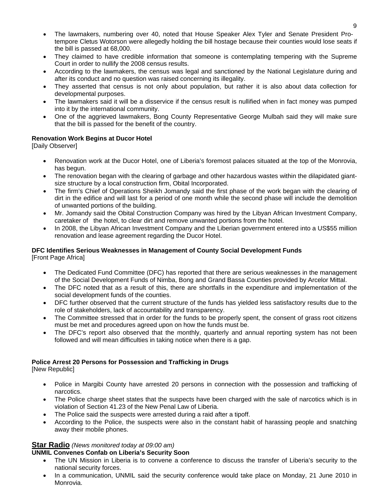- The lawmakers, numbering over 40, noted that House Speaker Alex Tyler and Senate President Protempore Cletus Wotorson were allegedly holding the bill hostage because their counties would lose seats if the bill is passed at 68,000.
- They claimed to have credible information that someone is contemplating tempering with the Supreme Court in order to nullify the 2008 census results.
- According to the lawmakers, the census was legal and sanctioned by the National Legislature during and after its conduct and no question was raised concerning its illegality.
- They asserted that census is not only about population, but rather it is also about data collection for developmental purposes.
- The lawmakers said it will be a disservice if the census result is nullified when in fact money was pumped into it by the international community.
- One of the aggrieved lawmakers, Bong County Representative George Mulbah said they will make sure that the bill is passed for the benefit of the country.

#### **Renovation Work Begins at Ducor Hotel**

[Daily Observer]

- Renovation work at the Ducor Hotel, one of Liberia's foremost palaces situated at the top of the Monrovia, has begun.
- The renovation began with the clearing of garbage and other hazardous wastes within the dilapidated giantsize structure by a local construction firm, Obital Incorporated.
- The firm's Chief of Operations Sheikh Jomandy said the first phase of the work began with the clearing of dirt in the edifice and will last for a period of one month while the second phase will include the demolition of unwanted portions of the building.
- Mr. Jomandy said the Obital Construction Company was hired by the Libyan African Investment Company, caretaker of the hotel, to clear dirt and remove unwanted portions from the hotel.
- In 2008, the Libyan African Investment Company and the Liberian government entered into a US\$55 million renovation and lease agreement regarding the Ducor Hotel.

#### **DFC Identifies Serious Weaknesses in Management of County Social Development Funds**  [Front Page Africa]

- The Dedicated Fund Committee (DFC) has reported that there are serious weaknesses in the management of the Social Development Funds of Nimba, Bong and Grand Bassa Counties provided by Arcelor Mittal.
- The DFC noted that as a result of this, there are shortfalls in the expenditure and implementation of the social development funds of the counties.
- DFC further observed that the current structure of the funds has yielded less satisfactory results due to the role of stakeholders, lack of accountability and transparency.
- The Committee stressed that in order for the funds to be properly spent, the consent of grass root citizens must be met and procedures agreed upon on how the funds must be.
- The DFC's report also observed that the monthly, quarterly and annual reporting system has not been followed and will mean difficulties in taking notice when there is a gap.

#### **Police Arrest 20 Persons for Possession and Trafficking in Drugs**

[New Republic]

- Police in Margibi County have arrested 20 persons in connection with the possession and trafficking of narcotics.
- The Police charge sheet states that the suspects have been charged with the sale of narcotics which is in violation of Section 41.23 of the New Penal Law of Liberia.
- The Police said the suspects were arrested during a raid after a tipoff.
- According to the Police, the suspects were also in the constant habit of harassing people and snatching away their mobile phones.

#### **Star Radio** *(News monitored today at 09:00 am)*

# **UNMIL Convenes Confab on Liberia's Security Soon**

- The UN Mission in Liberia is to convene a conference to discuss the transfer of Liberia's security to the national security forces.
- In a communication, UNMIL said the security conference would take place on Monday, 21 June 2010 in Monrovia.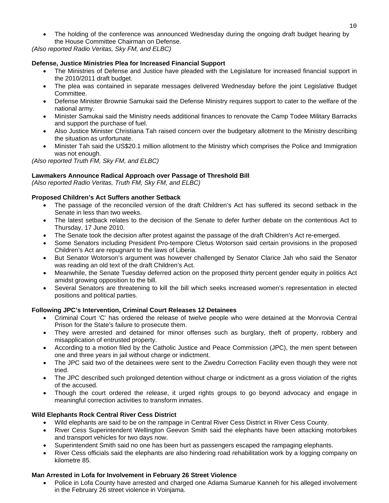• The holding of the conference was announced Wednesday during the ongoing draft budget hearing by the House Committee Chairman on Defense.

*(Also reported Radio Veritas, Sky FM, and ELBC)*

#### **Defense, Justice Ministries Plea for Increased Financial Support**

- The Ministries of Defense and Justice have pleaded with the Legislature for increased financial support in the 2010/2011 draft budget.
- The plea was contained in separate messages delivered Wednesday before the joint Legislative Budget Committee.
- Defense Minister Brownie Samukai said the Defense Ministry requires support to cater to the welfare of the national army.
- Minister Samukai said the Ministry needs additional finances to renovate the Camp Todee Military Barracks and support the purchase of fuel.
- Also Justice Minister Christiana Tah raised concern over the budgetary allotment to the Ministry describing the situation as unfortunate.
- Minister Tah said the US\$20.1 million allotment to the Ministry which comprises the Police and Immigration was not enough.

*(Also reported Truth FM, Sky FM, and ELBC)*

#### **Lawmakers Announce Radical Approach over Passage of Threshold Bill**

*(Also reported Radio Veritas, Truth FM, Sky FM, and ELBC)*

#### **Proposed Children's Act Suffers another Setback**

- The passage of the reconciled version of the draft Children's Act has suffered its second setback in the Senate in less than two weeks.
- The latest setback relates to the decision of the Senate to defer further debate on the contentious Act to Thursday, 17 June 2010.
- The Senate took the decision after protest against the passage of the draft Children's Act re-emerged.
- Some Senators including President Pro-tempore Cletus Wotorson said certain provisions in the proposed Children's Act are repugnant to the laws of Liberia.
- But Senator Wotorson's argument was however challenged by Senator Clarice Jah who said the Senator was reading an old text of the draft Children's Act.
- Meanwhile, the Senate Tuesday deferred action on the proposed thirty percent gender equity in politics Act amidst growing opposition to the bill.
- Several Senators are threatening to kill the bill which seeks increased women's representation in elected positions and political parties.

#### **Following JPC's Intervention, Criminal Court Releases 12 Detainees**

- Criminal Court 'C' has ordered the release of twelve people who were detained at the Monrovia Central Prison for the State's failure to prosecute them.
- They were arrested and detained for minor offenses such as burglary, theft of property, robbery and misapplication of entrusted property.
- According to a motion filed by the Catholic Justice and Peace Commission (JPC), the men spent between one and three years in jail without charge or indictment.
- The JPC said two of the detainees were sent to the Zwedru Correction Facility even though they were not tried.
- The JPC described such prolonged detention without charge or indictment as a gross violation of the rights of the accused.
- Though the court ordered the release, it urged rights groups to go beyond advocacy and engage in meaningful correction activities to transform inmates.

#### **Wild Elephants Rock Central River Cess District**

- Wild elephants are said to be on the rampage in Central River Cess District in River Cess County.
- River Cess Superintendent Wellington Geevon Smith said the elephants have been attacking motorbikes and transport vehicles for two days now.
- Superintendent Smith said no one has been hurt as passengers escaped the rampaging elephants.
- River Cess officials said the elephants are also hindering road rehabilitation work by a logging company on kilometre 85.

#### **Man Arrested in Lofa for Involvement in February 26 Street Violence**

• Police in Lofa County have arrested and charged one Adama Sumarue Kanneh for his alleged involvement in the February 26 street violence in Voinjama.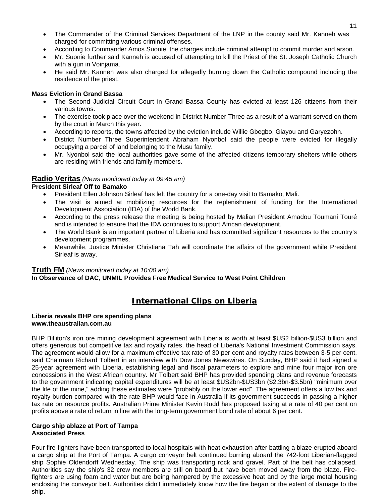- The Commander of the Criminal Services Department of the LNP in the county said Mr. Kanneh was charged for committing various criminal offenses.
- According to Commander Amos Suonie, the charges include criminal attempt to commit murder and arson.
- Mr. Suonie further said Kanneh is accused of attempting to kill the Priest of the St. Joseph Catholic Church with a gun in Voinjama.
- He said Mr. Kanneh was also charged for allegedly burning down the Catholic compound including the residence of the priest.

#### **Mass Eviction in Grand Bassa**

- The Second Judicial Circuit Court in Grand Bassa County has evicted at least 126 citizens from their various towns.
- The exercise took place over the weekend in District Number Three as a result of a warrant served on them by the court in March this year.
- According to reports, the towns affected by the eviction include Willie Gbegbo, Giayou and Garyezohn.
- District Number Three Superintendent Abraham Nyonbol said the people were evicted for illegally occupying a parcel of land belonging to the Musu family.
- Mr. Nyonbol said the local authorities gave some of the affected citizens temporary shelters while others are residing with friends and family members.

#### **Radio Veritas** *(News monitored today at 09:45 am)*

#### **President Sirleaf Off to Bamako**

- President Ellen Johnson Sirleaf has left the country for a one-day visit to Bamako, Mali.
- The visit is aimed at mobilizing resources for the replenishment of funding for the International Development Association (IDA) of the World Bank.
- According to the press release the meeting is being hosted by Malian President Amadou Toumani Touré and is intended to ensure that the IDA continues to support African development.
- The World Bank is an important partner of Liberia and has committed significant resources to the country's development programmes.
- Meanwhile, Justice Minister Christiana Tah will coordinate the affairs of the government while President Sirleaf is away.

#### **Truth FM** *(News monitored today at 10:00 am)*

#### **In Observance of DAC, UNMIL Provides Free Medical Service to West Point Children**

# **International Clips on Liberia**

#### **Liberia reveals BHP ore spending plans www.theaustralian.com.au**

BHP Billiton's iron ore mining development agreement with Liberia is worth at least \$US2 billion-\$US3 billion and offers generous but competitive tax and royalty rates, the head of Liberia's National Investment Commission says. The agreement would allow for a maximum effective tax rate of 30 per cent and royalty rates between 3-5 per cent, said Chairman Richard Tolbert in an interview with Dow Jones Newswires. On Sunday, BHP said it had signed a 25-year agreement with Liberia, establishing legal and fiscal parameters to explore and mine four major iron ore concessions in the West African country. Mr Tolbert said BHP has provided spending plans and revenue forecasts to the government indicating capital expenditures will be at least \$US2bn-\$US3bn (\$2.3bn-\$3.5bn) "minimum over the life of the mine," adding these estimates were "probably on the lower end". The agreement offers a low tax and royalty burden compared with the rate BHP would face in Australia if its government succeeds in passing a higher tax rate on resource profits. Australian Prime Minister Kevin Rudd has proposed taxing at a rate of 40 per cent on profits above a rate of return in line with the long-term government bond rate of about 6 per cent.

#### **Cargo ship ablaze at Port of Tampa Associated Press**

Four fire-fighters have been transported to local hospitals with heat exhaustion after battling a blaze erupted aboard a cargo ship at the Port of Tampa. A cargo conveyor belt continued burning aboard the 742-foot Liberian-flagged ship Sophie Oldendorff Wednesday. The ship was transporting rock and gravel. Part of the belt has collapsed. Authorities say the ship's 32 crew members are still on board but have been moved away from the blaze. Firefighters are using foam and water but are being hampered by the excessive heat and by the large metal housing enclosing the conveyor belt. Authorities didn't immediately know how the fire began or the extent of damage to the ship.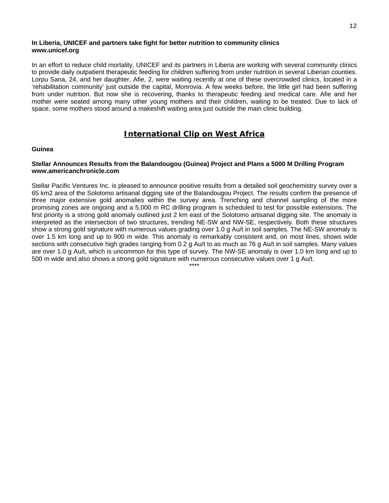#### **In Liberia, UNICEF and partners take fight for better nutrition to community clinics www.unicef.org**

In an effort to reduce child mortality, UNICEF and its partners in Liberia are working with several community clinics to provide daily outpatient therapeutic feeding for children suffering from under nutrition in several Liberian counties. Lorpu Sana, 24, and her daughter, Afie, 2, were waiting recently at one of these overcrowded clinics, located in a 'rehabilitation community' just outside the capital, Monrovia. A few weeks before, the little girl had been suffering from under nutrition. But now she is recovering, thanks to therapeutic feeding and medical care. Afie and her mother were seated among many other young mothers and their children, waiting to be treated. Due to lack of space, some mothers stood around a makeshift waiting area just outside the main clinic building.

# **International Clip on West Africa**

#### **Guinea**

#### **Stellar Announces Results from the Balandougou (Guinea) Project and Plans a 5000 M Drilling Program www.americanchronicle.com**

Stellar Pacific Ventures Inc. is pleased to announce positive results from a detailed soil geochemistry survey over a 65 km2 area of the Solotomo artisanal digging site of the Balandougou Project. The results confirm the presence of three major extensive gold anomalies within the survey area. Trenching and channel sampling of the more promising zones are ongoing and a 5,000 m RC drilling program is scheduled to test for possible extensions. The first priority is a strong gold anomaly outlined just 2 km east of the Solotomo artisanal digging site. The anomaly is interpreted as the intersection of two structures, trending NE-SW and NW-SE, respectively. Both these structures show a strong gold signature with numerous values grading over 1.0 g Au/t in soil samples. The NE-SW anomaly is over 1.5 km long and up to 900 m wide. This anomaly is remarkably consistent and, on most lines, shows wide sections with consecutive high grades ranging from 0.2 g Au/t to as much as 76 g Au/t in soil samples. Many values are over 1.0 g Au/t, which is uncommon for this type of survey. The NW-SE anomaly is over 1.0 km long and up to 500 m wide and also shows a strong gold signature with numerous consecutive values over 1 g Au/t.

\*\*\*\*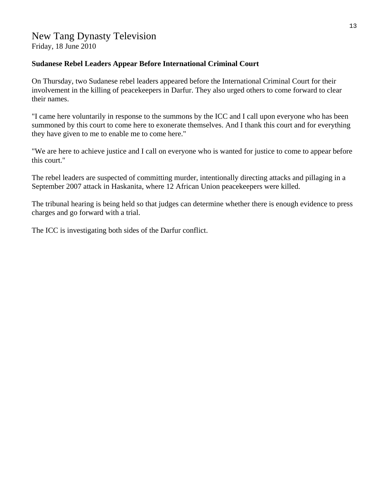Friday, 18 June 2010

### **Sudanese Rebel Leaders Appear Before International Criminal Court**

On Thursday, two Sudanese rebel leaders appeared before the International Criminal Court for their involvement in the killing of peacekeepers in Darfur. They also urged others to come forward to clear their names.

"I came here voluntarily in response to the summons by the ICC and I call upon everyone who has been summoned by this court to come here to exonerate themselves. And I thank this court and for everything they have given to me to enable me to come here."

"We are here to achieve justice and I call on everyone who is wanted for justice to come to appear before this court."

The rebel leaders are suspected of committing murder, intentionally directing attacks and pillaging in a September 2007 attack in Haskanita, where 12 African Union peacekeepers were killed.

The tribunal hearing is being held so that judges can determine whether there is enough evidence to press charges and go forward with a trial.

The ICC is investigating both sides of the Darfur conflict.